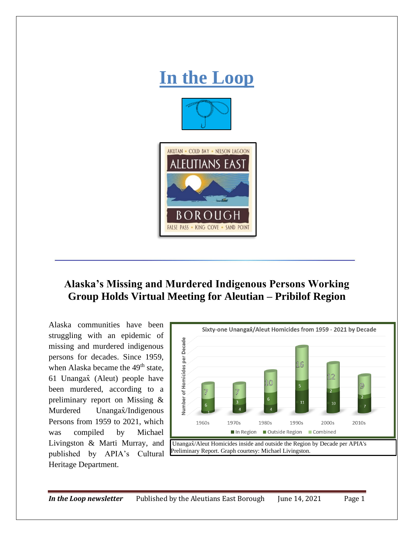

## **Alaska's Missing and Murdered Indigenous Persons Working Group Holds Virtual Meeting for Aleutian – Pribilof Region**

Alaska communities have been struggling with an epidemic of missing and murdered indigenous persons for decades. Since 1959, when Alaska became the 49<sup>th</sup> state, 61 Unangax̂ (Aleut) people have been murdered, according to a preliminary report on Missing & Murdered Unangax<sup>2</sup>/Indigenous Persons from 1959 to 2021, which was compiled by Michael Livingston & Marti Murray, and published by APIA's Cultural Heritage Department.

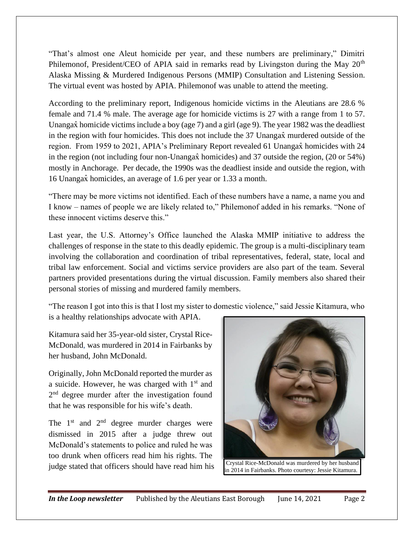"That's almost one Aleut homicide per year, and these numbers are preliminary," Dimitri Philemonof, President/CEO of APIA said in remarks read by Livingston during the May 20<sup>th</sup> Alaska Missing & Murdered Indigenous Persons (MMIP) Consultation and Listening Session. The virtual event was hosted by APIA. Philemonof was unable to attend the meeting.

According to the preliminary report, Indigenous homicide victims in the Aleutians are 28.6 % female and 71.4 % male. The average age for homicide victims is 27 with a range from 1 to 57. Unangax̂ homicide victims include a boy (age 7) and a girl (age 9). The year 1982 was the deadliest in the region with four homicides. This does not include the 37 Unangax murdered outside of the region. From 1959 to 2021, APIA's Preliminary Report revealed 61 Unangax homicides with 24 in the region (not including four non-Unangax̂ homicides) and 37 outside the region, (20 or 54%) mostly in Anchorage. Per decade, the 1990s was the deadliest inside and outside the region, with 16 Unangax̂ homicides, an average of 1.6 per year or 1.33 a month.

"There may be more victims not identified. Each of these numbers have a name, a name you and I know – names of people we are likely related to," Philemonof added in his remarks. "None of these innocent victims deserve this."

Last year, the U.S. Attorney's Office launched the Alaska MMIP initiative to address the challenges of response in the state to this deadly epidemic. The group is a multi-disciplinary team involving the collaboration and coordination of tribal representatives, federal, state, local and tribal law enforcement. Social and victims service providers are also part of the team. Several partners provided presentations during the virtual discussion. Family members also shared their personal stories of missing and murdered family members.

"The reason I got into this is that I lost my sister to domestic violence," said Jessie Kitamura, who is a healthy relationships advocate with APIA.

Kitamura said her 35-year-old sister, Crystal Rice-McDonald, was murdered in 2014 in Fairbanks by her husband, John McDonald.

Originally, John McDonald reported the murder as a suicide. However, he was charged with  $1<sup>st</sup>$  and 2<sup>nd</sup> degree murder after the investigation found that he was responsible for his wife's death.

The  $1<sup>st</sup>$  and  $2<sup>nd</sup>$  degree murder charges were dismissed in 2015 after a judge threw out McDonald's statements to police and ruled he was too drunk when officers read him his rights. The judge stated that officers should have read him his Crystal Rice-McDonald was murdered by her husband



in 2014 in Fairbanks. Photo courtesy: Jessie Kitamura.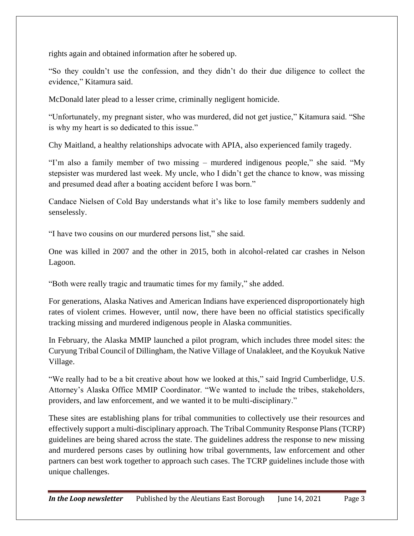rights again and obtained information after he sobered up.

"So they couldn't use the confession, and they didn't do their due diligence to collect the evidence," Kitamura said.

McDonald later plead to a lesser crime, criminally negligent homicide.

"Unfortunately, my pregnant sister, who was murdered, did not get justice," Kitamura said. "She is why my heart is so dedicated to this issue."

Chy Maitland, a healthy relationships advocate with APIA, also experienced family tragedy.

"I'm also a family member of two missing – murdered indigenous people," she said. "My stepsister was murdered last week. My uncle, who I didn't get the chance to know, was missing and presumed dead after a boating accident before I was born."

Candace Nielsen of Cold Bay understands what it's like to lose family members suddenly and senselessly.

"I have two cousins on our murdered persons list," she said.

One was killed in 2007 and the other in 2015, both in alcohol-related car crashes in Nelson Lagoon.

"Both were really tragic and traumatic times for my family," she added.

For generations, Alaska Natives and American Indians have experienced disproportionately high rates of violent crimes. However, until now, there have been no official statistics specifically tracking missing and murdered indigenous people in Alaska communities.

In February, the Alaska MMIP launched a pilot program, which includes three model sites: the Curyung Tribal Council of Dillingham, the Native Village of Unalakleet, and the Koyukuk Native Village.

"We really had to be a bit creative about how we looked at this," said Ingrid Cumberlidge, U.S. Attorney's Alaska Office MMIP Coordinator. "We wanted to include the tribes, stakeholders, providers, and law enforcement, and we wanted it to be multi-disciplinary."

These sites are establishing plans for tribal communities to collectively use their resources and effectively support a multi-disciplinary approach. The Tribal Community Response Plans (TCRP) guidelines are being shared across the state. The guidelines address the response to new missing and murdered persons cases by outlining how tribal governments, law enforcement and other partners can best work together to approach such cases. The TCRP guidelines include those with unique challenges.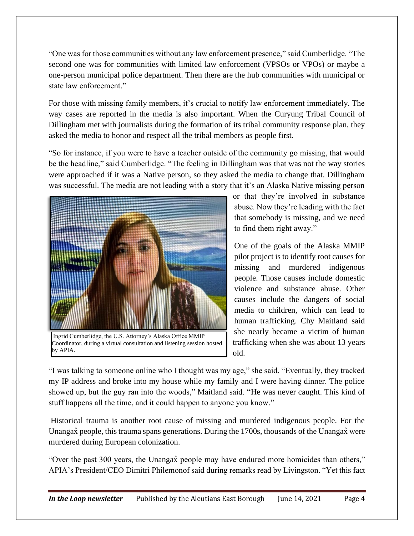"One was for those communities without any law enforcement presence," said Cumberlidge. "The second one was for communities with limited law enforcement (VPSOs or VPOs) or maybe a one-person municipal police department. Then there are the hub communities with municipal or state law enforcement."

For those with missing family members, it's crucial to notify law enforcement immediately. The way cases are reported in the media is also important. When the Curyung Tribal Council of Dillingham met with journalists during the formation of its tribal community response plan, they asked the media to honor and respect all the tribal members as people first.

"So for instance, if you were to have a teacher outside of the community go missing, that would be the headline," said Cumberlidge. "The feeling in Dillingham was that was not the way stories were approached if it was a Native person, so they asked the media to change that. Dillingham was successful. The media are not leading with a story that it's an Alaska Native missing person



Coordinator, during a virtual consultation and listening session hosted by APIA.

or that they're involved in substance abuse. Now they're leading with the fact that somebody is missing, and we need to find them right away."

One of the goals of the Alaska MMIP pilot project is to identify root causes for missing and murdered indigenous people. Those causes include domestic violence and substance abuse. Other causes include the dangers of social media to children, which can lead to human trafficking. Chy Maitland said she nearly became a victim of human trafficking when she was about 13 years old.

"I was talking to someone online who I thought was my age," she said. "Eventually, they tracked my IP address and broke into my house while my family and I were having dinner. The police showed up, but the guy ran into the woods," Maitland said. "He was never caught. This kind of stuff happens all the time, and it could happen to anyone you know."

Historical trauma is another root cause of missing and murdered indigenous people. For the Unangax<sup> $\hat{x}$ </sup> people, this trauma spans generations. During the 1700s, thousands of the Unangax were murdered during European colonization.

"Over the past 300 years, the Unangax̂ people may have endured more homicides than others," APIA's President/CEO Dimitri Philemonof said during remarks read by Livingston. "Yet this fact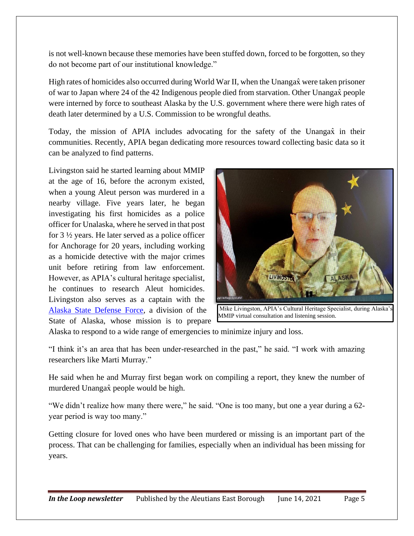is not well-known because these memories have been stuffed down, forced to be forgotten, so they do not become part of our institutional knowledge."

High rates of homicides also occurred during World War II, when the Unangax were taken prisoner of war to Japan where 24 of the 42 Indigenous people died from starvation. Other Unangax̂ people were interned by force to southeast Alaska by the U.S. government where there were high rates of death later determined by a U.S. Commission to be wrongful deaths.

Today, the mission of APIA includes advocating for the safety of the Unangax in their communities. Recently, APIA began dedicating more resources toward collecting basic data so it can be analyzed to find patterns.

Livingston said he started learning about MMIP at the age of 16, before the acronym existed, when a young Aleut person was murdered in a nearby village. Five years later, he began investigating his first homicides as a police officer for Unalaska, where he served in that post for 3 ½ years. He later served as a police officer for Anchorage for 20 years, including working as a homicide detective with the major crimes unit before retiring from law enforcement. However, as APIA's cultural heritage specialist, he continues to research Aleut homicides. Livingston also serves as a captain with the [Alaska State Defense Force,](https://dmva.alaska.gov/asdf?fbclid=IwAR2omRpvkbyzeo239B4VrTw7XD2w5gOzgxLXcAm6V1IEOb6y2EypLFg9KuY&fbclid=IwAR2omRpvkbyzeo239B4VrTw7XD2w5gOzgxLXcAm6V1IEOb6y2EypLFg9KuY) a division of the State of Alaska, whose mission is to prepare



Mike Livingston, APIA's Cultural Heritage Specialist, during Alaska MMIP virtual consultation and listening session.

Alaska to respond to a wide range of emergencies to minimize injury and loss.

"I think it's an area that has been under-researched in the past," he said. "I work with amazing researchers like Marti Murray."

He said when he and Murray first began work on compiling a report, they knew the number of murdered Unangax̂ people would be high.

"We didn't realize how many there were," he said. "One is too many, but one a year during a 62 year period is way too many."

Getting closure for loved ones who have been murdered or missing is an important part of the process. That can be challenging for families, especially when an individual has been missing for years.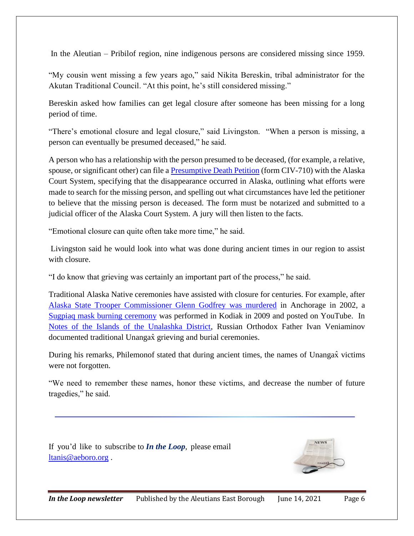In the Aleutian – Pribilof region, nine indigenous persons are considered missing since 1959.

"My cousin went missing a few years ago," said Nikita Bereskin, tribal administrator for the Akutan Traditional Council. "At this point, he's still considered missing."

Bereskin asked how families can get legal closure after someone has been missing for a long period of time.

"There's emotional closure and legal closure," said Livingston. "When a person is missing, a person can eventually be presumed deceased," he said.

A person who has a relationship with the person presumed to be deceased, (for example, a relative, spouse, or significant other) can file a [Presumptive Death Petition](https://courts.alaska.gov/forms/docs/civ-710.pdf) (form CIV-710) with the Alaska Court System, specifying that the disappearance occurred in Alaska, outlining what efforts were made to search for the missing person, and spelling out what circumstances have led the petitioner to believe that the missing person is deceased. The form must be notarized and submitted to a judicial officer of the Alaska Court System. A jury will then listen to the facts.

"Emotional closure can quite often take more time," he said.

Livingston said he would look into what was done during ancient times in our region to assist with closure.

"I do know that grieving was certainly an important part of the process," he said.

Traditional Alaska Native ceremonies have assisted with closure for centuries. For example, after [Alaska State Trooper Commissioner Glenn Godfrey was murdered](https://www.findagrave.com/memorial/151974336/glenn-gordon-godfrey) in Anchorage in 2002, a [Sugpiaq mask burning ceremony](https://youtu.be/B4cpqtQffVQ) was performed in Kodiak in 2009 and posted on YouTube. In [Notes of the Islands of the Unalashka District,](https://www.worldcat.org/title/notes-on-the-islands-of-the-unalashka-district/oclc/474979695&referer=brief_results) Russian Orthodox Father Ivan Veniaminov documented traditional Unangax grieving and burial ceremonies.

During his remarks, Philemonof stated that during ancient times, the names of Unangax̂ victims were not forgotten.

"We need to remember these names, honor these victims, and decrease the number of future tragedies," he said.

If you'd like to subscribe to *In the Loop*, please email [ltanis@aeboro.org](mailto:ltanis@aeboro.org).